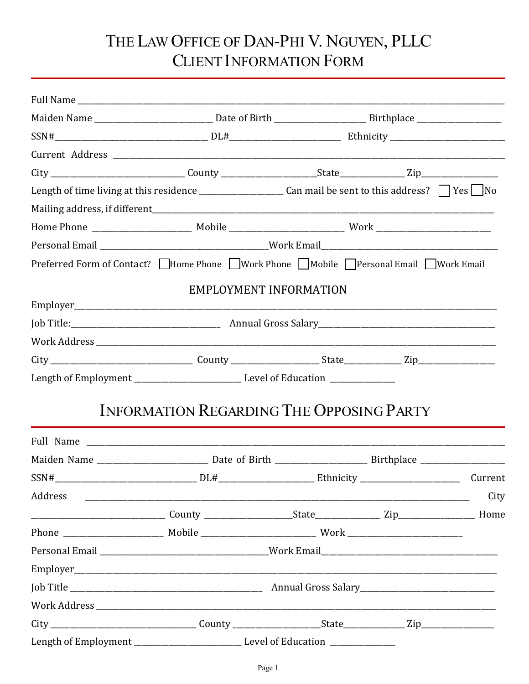# THE LAW OFFICE OF DAN-PHI V. NGUYEN, PLLC CLIENT INFORMATION FORM

|         | Preferred Form of Contact? IHome Phone IWork Phone   Mobile   Personal Email IWork Email |  |         |
|---------|------------------------------------------------------------------------------------------|--|---------|
|         | EMPLOYMENT INFORMATION                                                                   |  |         |
|         |                                                                                          |  |         |
|         |                                                                                          |  |         |
|         |                                                                                          |  |         |
|         |                                                                                          |  |         |
|         |                                                                                          |  |         |
|         | <b>INFORMATION REGARDING THE OPPOSING PARTY</b>                                          |  |         |
|         |                                                                                          |  |         |
|         |                                                                                          |  |         |
|         |                                                                                          |  | Current |
| Address |                                                                                          |  | City    |
|         |                                                                                          |  |         |
|         |                                                                                          |  |         |
|         |                                                                                          |  |         |
|         |                                                                                          |  |         |
|         |                                                                                          |  |         |
|         |                                                                                          |  |         |
|         |                                                                                          |  |         |
|         | Length of Employment Level of Education                                                  |  |         |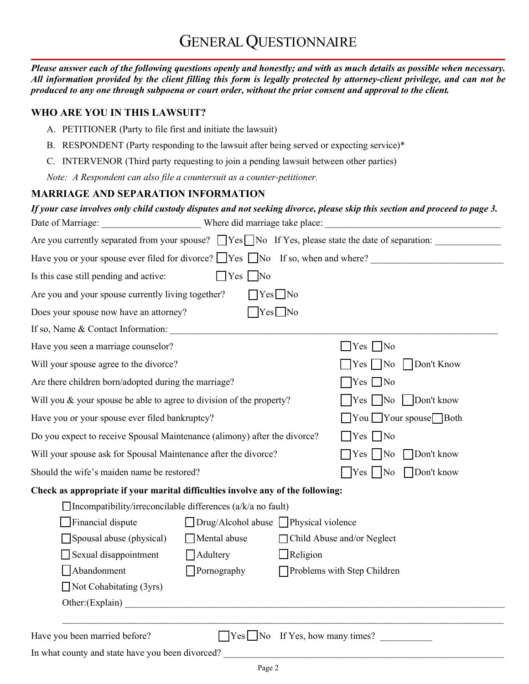## GENERAL QUESTIONNAIRE

*Please answer each of the following questions openly and honestly; and with as much details as possible when necessary. All information provided by the client filling this form is legally protected by attorney-client privilege, and can not be produced to any one through subpoena or court order, without the prior consent and approval to the client.*

#### **WHO ARE YOU IN THIS LAWSUIT?**

- A. PETITIONER (Party to file first and initiate the lawsuit)
- B. RESPONDENT (Party responding to the lawsuit after being served or expecting service)\*
- C. INTERVENOR (Third party requesting to join a pending lawsuit between other parties)

*Note: A Respondent can also file a countersuit as a counter-petitioner.*

### **MARRIAGE AND SEPARATION INFORMATION**

|                                                                           |                                                                                 | If your case involves only child custody disputes and not seeking divorce, please skip this section and proceed to page 3. |
|---------------------------------------------------------------------------|---------------------------------------------------------------------------------|----------------------------------------------------------------------------------------------------------------------------|
|                                                                           |                                                                                 |                                                                                                                            |
|                                                                           |                                                                                 | Are you currently separated from your spouse? TYes No If Yes, please state the date of separation:                         |
|                                                                           |                                                                                 | Have you or your spouse ever filed for divorce? $\Box$ Yes $\Box$ No If so, when and where?                                |
| Is this case still pending and active:                                    | $\Box$ Yes $\Box$ No                                                            |                                                                                                                            |
| Are you and your spouse currently living together?                        | $\bigcap$ Yes $\bigcap$ No                                                      |                                                                                                                            |
| Does your spouse now have an attorney?                                    | $\sqrt{\text{Yes}}$ No                                                          |                                                                                                                            |
| If so, Name & Contact Information:                                        |                                                                                 |                                                                                                                            |
| Have you seen a marriage counselor?                                       |                                                                                 | $\Box$ Yes $\Box$ No                                                                                                       |
| Will your spouse agree to the divorce?                                    |                                                                                 | Don't Know<br>$\Box$ Yes $\Box$ No                                                                                         |
| Are there children born/adopted during the marriage?                      |                                                                                 | $\Box$ Yes $\Box$ No                                                                                                       |
| Will you & your spouse be able to agree to division of the property?      |                                                                                 |                                                                                                                            |
| Have you or your spouse ever filed bankruptcy?                            |                                                                                 | $\Box$ You $\Box$ Your spouse $\Box$ Both                                                                                  |
| Do you expect to receive Spousal Maintenance (alimony) after the divorce? |                                                                                 | $\Box$ Yes $\Box$ No                                                                                                       |
| Will your spouse ask for Spousal Maintenance after the divorce?           |                                                                                 | Don't know<br>$\bigcap$ Yes $\big $ No                                                                                     |
| Should the wife's maiden name be restored?                                |                                                                                 | Don't know<br>$\gamma$ es   No                                                                                             |
|                                                                           | Check as appropriate if your marital difficulties involve any of the following: |                                                                                                                            |
| $\Box$ Incompatibility/irreconcilable differences (a/k/a no fault)        |                                                                                 |                                                                                                                            |
| Financial dispute                                                         | $\Box$ Drug/Alcohol abuse $\Box$ Physical violence                              |                                                                                                                            |
| Spousal abuse (physical)                                                  | Mental abuse                                                                    | □ Child Abuse and/or Neglect                                                                                               |
| Sexual disappointment                                                     | $\Box$ Adultery<br>$\Box$ Religion                                              |                                                                                                                            |
| Abandonment                                                               | $\Box$ Pornography                                                              | Problems with Step Children                                                                                                |
| $\Box$ Not Cohabitating (3yrs)                                            |                                                                                 |                                                                                                                            |
|                                                                           | Other: (Explain)                                                                |                                                                                                                            |
|                                                                           |                                                                                 |                                                                                                                            |
| Have you been married before?                                             | $\Box$ Yes $\Box$ No If Yes, how many times?                                    |                                                                                                                            |

In what county and state have you been divorced?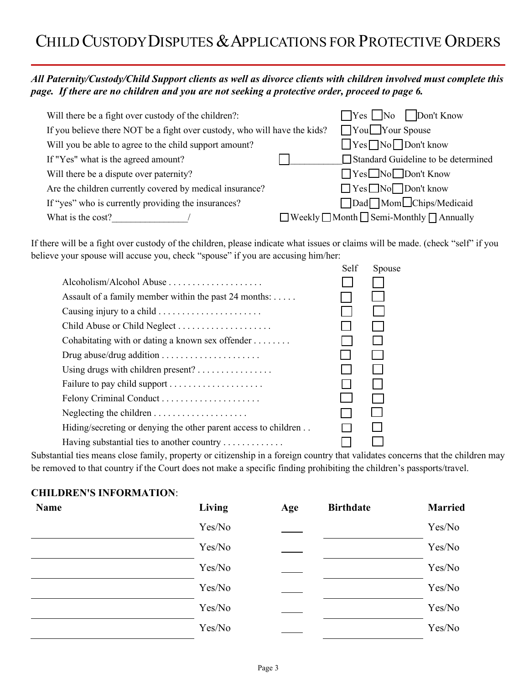## CHILD CUSTODY DISPUTES & APPLICATIONS FOR PROTECTIVE ORDERS

### *All Paternity/Custody/Child Support clients as well as divorce clients with children involved must complete this page. If there are no children and you are not seeking a protective order, proceed to page 6.*

| Will there be a fight over custody of the children?:                      | $\Box$ Yes $\Box$ No $\Box$ Don't Know                         |
|---------------------------------------------------------------------------|----------------------------------------------------------------|
| If you believe there NOT be a fight over custody, who will have the kids? | You Your Spouse                                                |
| Will you be able to agree to the child support amount?                    | $\Box$ Yes $\Box$ No $\Box$ Don't know                         |
| If "Yes" what is the agreed amount?                                       | Standard Guideline to be determined                            |
| Will there be a dispute over paternity?                                   | ■ Yes No Don't Know                                            |
| Are the children currently covered by medical insurance?                  | □ Yes ■ No ■ Don't know                                        |
| If "yes" who is currently providing the insurances?                       | Dad Mom Chips/Medicaid                                         |
| What is the cost?                                                         | $\Box$ Weekly $\Box$ Month $\Box$ Semi-Monthly $\Box$ Annually |

If there will be a fight over custody of the children, please indicate what issues or claims will be made. (check "self" if you believe your spouse will accuse you, check "spouse" if you are accusing him/her:

|                                                                    | Self | Spouse |
|--------------------------------------------------------------------|------|--------|
|                                                                    |      |        |
| Assault of a family member within the past 24 months: $\dots$ .    |      |        |
| Causing injury to a child                                          |      |        |
| Child Abuse or Child Neglect                                       |      | I.     |
| Cohabitating with or dating a known sex offender $\dots\dots\dots$ |      |        |
|                                                                    |      |        |
|                                                                    |      |        |
|                                                                    |      |        |
|                                                                    |      |        |
|                                                                    |      |        |
| Hiding/secreting or denying the other parent access to children    |      |        |
| Having substantial ties to another country                         |      |        |
|                                                                    |      |        |

Substantial ties means close family, property or citizenship in a foreign country that validates concerns that the children may be removed to that country if the Court does not make a specific finding prohibiting the children's passports/travel.

#### **CHILDREN'S INFORMATION**:

| <b>Name</b> | Living | Age | <b>Birthdate</b> | <b>Married</b> |
|-------------|--------|-----|------------------|----------------|
|             | Yes/No |     |                  | Yes/No         |
|             | Yes/No |     |                  | Yes/No         |
|             | Yes/No |     |                  | Yes/No         |
|             | Yes/No |     |                  | Yes/No         |
|             | Yes/No |     |                  | Yes/No         |
|             | Yes/No |     |                  | Yes/No         |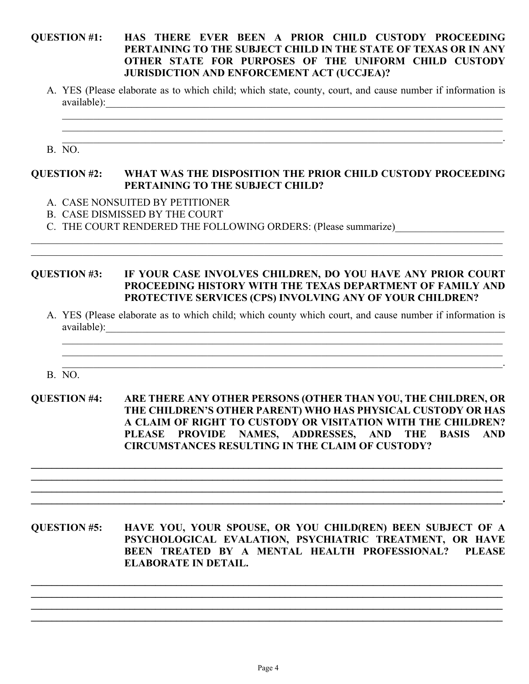#### **QUESTION #1: HAS THERE EVER BEEN A PRIOR CHILD CUSTODY PROCEEDING PERTAINING TO THE SUBJECT CHILD IN THE STATE OF TEXAS OR IN ANY OTHER STATE FOR PURPOSES OF THE UNIFORM CHILD CUSTODY JURISDICTION AND ENFORCEMENT ACT (UCCJEA)?**

A. YES (Please elaborate as to which child; which state, county, court, and cause number if information is available):

 $\_$  , and the set of the set of the set of the set of the set of the set of the set of the set of the set of the set of the set of the set of the set of the set of the set of the set of the set of the set of the set of th

\_\_\_\_\_\_\_\_\_\_\_\_\_\_\_\_\_\_\_\_\_\_\_\_\_\_\_\_\_\_\_\_\_\_\_\_\_\_\_\_\_\_\_\_\_\_\_\_\_\_\_\_\_\_\_\_\_\_\_\_\_\_\_\_\_\_\_\_\_\_\_\_\_\_\_\_\_\_\_\_\_\_\_\_\_.

B. NO.

#### **QUESTION #2: WHAT WAS THE DISPOSITION THE PRIOR CHILD CUSTODY PROCEEDING PERTAINING TO THE SUBJECT CHILD?**

- A. CASE NONSUITED BY PETITIONER
- B. CASE DISMISSED BY THE COURT
- C. THE COURT RENDERED THE FOLLOWING ORDERS: (Please summarize)

#### **QUESTION #3: IF YOUR CASE INVOLVES CHILDREN, DO YOU HAVE ANY PRIOR COURT PROCEEDING HISTORY WITH THE TEXAS DEPARTMENT OF FAMILY AND PROTECTIVE SERVICES (CPS) INVOLVING ANY OF YOUR CHILDREN?**

 $\_$  , and the set of the set of the set of the set of the set of the set of the set of the set of the set of the set of the set of the set of the set of the set of the set of the set of the set of the set of the set of th

A. YES (Please elaborate as to which child; which county which court, and cause number if information is available):

 $\mathcal{L}_\mathcal{L} = \{ \mathcal{L}_\mathcal{L} = \{ \mathcal{L}_\mathcal{L} = \{ \mathcal{L}_\mathcal{L} = \{ \mathcal{L}_\mathcal{L} = \{ \mathcal{L}_\mathcal{L} = \{ \mathcal{L}_\mathcal{L} = \{ \mathcal{L}_\mathcal{L} = \{ \mathcal{L}_\mathcal{L} = \{ \mathcal{L}_\mathcal{L} = \{ \mathcal{L}_\mathcal{L} = \{ \mathcal{L}_\mathcal{L} = \{ \mathcal{L}_\mathcal{L} = \{ \mathcal{L}_\mathcal{L} = \{ \mathcal{L}_\mathcal{$  $\mathcal{L}_\mathcal{L} = \{ \mathcal{L}_\mathcal{L} = \{ \mathcal{L}_\mathcal{L} = \{ \mathcal{L}_\mathcal{L} = \{ \mathcal{L}_\mathcal{L} = \{ \mathcal{L}_\mathcal{L} = \{ \mathcal{L}_\mathcal{L} = \{ \mathcal{L}_\mathcal{L} = \{ \mathcal{L}_\mathcal{L} = \{ \mathcal{L}_\mathcal{L} = \{ \mathcal{L}_\mathcal{L} = \{ \mathcal{L}_\mathcal{L} = \{ \mathcal{L}_\mathcal{L} = \{ \mathcal{L}_\mathcal{L} = \{ \mathcal{L}_\mathcal{$  $\mathcal{L}_\mathcal{L} = \mathcal{L}_\mathcal{L} = \mathcal{L}_\mathcal{L} = \mathcal{L}_\mathcal{L} = \mathcal{L}_\mathcal{L} = \mathcal{L}_\mathcal{L} = \mathcal{L}_\mathcal{L} = \mathcal{L}_\mathcal{L} = \mathcal{L}_\mathcal{L} = \mathcal{L}_\mathcal{L} = \mathcal{L}_\mathcal{L} = \mathcal{L}_\mathcal{L} = \mathcal{L}_\mathcal{L} = \mathcal{L}_\mathcal{L} = \mathcal{L}_\mathcal{L} = \mathcal{L}_\mathcal{L} = \mathcal{L}_\mathcal{L}$ 

B. NO.

**QUESTION #4: ARE THERE ANY OTHER PERSONS (OTHER THAN YOU, THE CHILDREN, OR THE CHILDREN'S OTHER PARENT) WHO HAS PHYSICAL CUSTODY OR HAS A CLAIM OF RIGHT TO CUSTODY OR VISITATION WITH THE CHILDREN? PLEASE PROVIDE NAMES, ADDRESSES, AND THE BASIS AND CIRCUMSTANCES RESULTING IN THE CLAIM OF CUSTODY?**

**\_\_\_\_\_\_\_\_\_\_\_\_\_\_\_\_\_\_\_\_\_\_\_\_\_\_\_\_\_\_\_\_\_\_\_\_\_\_\_\_\_\_\_\_\_\_\_\_\_\_\_\_\_\_\_\_\_\_\_\_\_\_\_\_\_\_\_\_\_\_\_\_\_\_\_\_\_\_\_\_\_\_\_\_\_\_\_\_\_\_\_ \_\_\_\_\_\_\_\_\_\_\_\_\_\_\_\_\_\_\_\_\_\_\_\_\_\_\_\_\_\_\_\_\_\_\_\_\_\_\_\_\_\_\_\_\_\_\_\_\_\_\_\_\_\_\_\_\_\_\_\_\_\_\_\_\_\_\_\_\_\_\_\_\_\_\_\_\_\_\_\_\_\_\_\_\_\_\_\_\_\_\_ \_\_\_\_\_\_\_\_\_\_\_\_\_\_\_\_\_\_\_\_\_\_\_\_\_\_\_\_\_\_\_\_\_\_\_\_\_\_\_\_\_\_\_\_\_\_\_\_\_\_\_\_\_\_\_\_\_\_\_\_\_\_\_\_\_\_\_\_\_\_\_\_\_\_\_\_\_\_\_\_\_\_\_\_\_\_\_\_\_\_\_ \_\_\_\_\_\_\_\_\_\_\_\_\_\_\_\_\_\_\_\_\_\_\_\_\_\_\_\_\_\_\_\_\_\_\_\_\_\_\_\_\_\_\_\_\_\_\_\_\_\_\_\_\_\_\_\_\_\_\_\_\_\_\_\_\_\_\_\_\_\_\_\_\_\_\_\_\_\_\_\_\_\_\_\_\_\_\_\_\_\_\_.**

**QUESTION #5: HAVE YOU, YOUR SPOUSE, OR YOU CHILD(REN) BEEN SUBJECT OF A PSYCHOLOGICAL EVALATION, PSYCHIATRIC TREATMENT, OR HAVE BEEN TREATED BY A MENTAL HEALTH PROFESSIONAL? PLEASE ELABORATE IN DETAIL.**

**\_\_\_\_\_\_\_\_\_\_\_\_\_\_\_\_\_\_\_\_\_\_\_\_\_\_\_\_\_\_\_\_\_\_\_\_\_\_\_\_\_\_\_\_\_\_\_\_\_\_\_\_\_\_\_\_\_\_\_\_\_\_\_\_\_\_\_\_\_\_\_\_\_\_\_\_\_\_\_\_\_\_\_\_\_\_\_\_\_\_\_ \_\_\_\_\_\_\_\_\_\_\_\_\_\_\_\_\_\_\_\_\_\_\_\_\_\_\_\_\_\_\_\_\_\_\_\_\_\_\_\_\_\_\_\_\_\_\_\_\_\_\_\_\_\_\_\_\_\_\_\_\_\_\_\_\_\_\_\_\_\_\_\_\_\_\_\_\_\_\_\_\_\_\_\_\_\_\_\_\_\_\_ \_\_\_\_\_\_\_\_\_\_\_\_\_\_\_\_\_\_\_\_\_\_\_\_\_\_\_\_\_\_\_\_\_\_\_\_\_\_\_\_\_\_\_\_\_\_\_\_\_\_\_\_\_\_\_\_\_\_\_\_\_\_\_\_\_\_\_\_\_\_\_\_\_\_\_\_\_\_\_\_\_\_\_\_\_\_\_\_\_\_\_ \_\_\_\_\_\_\_\_\_\_\_\_\_\_\_\_\_\_\_\_\_\_\_\_\_\_\_\_\_\_\_\_\_\_\_\_\_\_\_\_\_\_\_\_\_\_\_\_\_\_\_\_\_\_\_\_\_\_\_\_\_\_\_\_\_\_\_\_\_\_\_\_\_\_\_\_\_\_\_\_\_\_\_\_\_\_\_\_\_\_\_**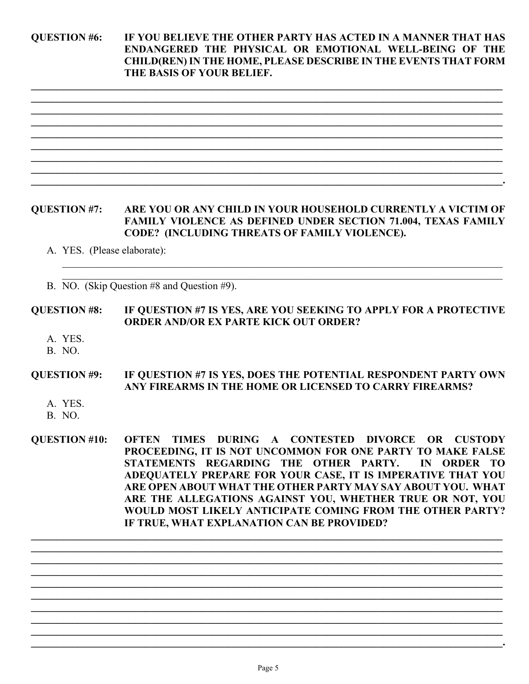**QUESTION #6: IF YOU BELIEVE THE OTHER PARTY HAS ACTED IN A MANNER THAT HAS ENDANGERED THE PHYSICAL OR EMOTIONAL WELL-BEING OF THE CHILD(REN)IN THE HOME, PLEASE DESCRIBE IN THE EVENTS THAT FORM THE BASIS OF YOUR BELIEF.**

**\_\_\_\_\_\_\_\_\_\_\_\_\_\_\_\_\_\_\_\_\_\_\_\_\_\_\_\_\_\_\_\_\_\_\_\_\_\_\_\_\_\_\_\_\_\_\_\_\_\_\_\_\_\_\_\_\_\_\_\_\_\_\_\_\_\_\_\_\_\_\_\_\_\_\_\_\_\_\_\_\_\_\_\_\_\_\_\_\_\_\_ \_\_\_\_\_\_\_\_\_\_\_\_\_\_\_\_\_\_\_\_\_\_\_\_\_\_\_\_\_\_\_\_\_\_\_\_\_\_\_\_\_\_\_\_\_\_\_\_\_\_\_\_\_\_\_\_\_\_\_\_\_\_\_\_\_\_\_\_\_\_\_\_\_\_\_\_\_\_\_\_\_\_\_\_\_\_\_\_\_\_\_ \_\_\_\_\_\_\_\_\_\_\_\_\_\_\_\_\_\_\_\_\_\_\_\_\_\_\_\_\_\_\_\_\_\_\_\_\_\_\_\_\_\_\_\_\_\_\_\_\_\_\_\_\_\_\_\_\_\_\_\_\_\_\_\_\_\_\_\_\_\_\_\_\_\_\_\_\_\_\_\_\_\_\_\_\_\_\_\_\_\_\_ \_\_\_\_\_\_\_\_\_\_\_\_\_\_\_\_\_\_\_\_\_\_\_\_\_\_\_\_\_\_\_\_\_\_\_\_\_\_\_\_\_\_\_\_\_\_\_\_\_\_\_\_\_\_\_\_\_\_\_\_\_\_\_\_\_\_\_\_\_\_\_\_\_\_\_\_\_\_\_\_\_\_\_\_\_\_\_\_\_\_\_ \_\_\_\_\_\_\_\_\_\_\_\_\_\_\_\_\_\_\_\_\_\_\_\_\_\_\_\_\_\_\_\_\_\_\_\_\_\_\_\_\_\_\_\_\_\_\_\_\_\_\_\_\_\_\_\_\_\_\_\_\_\_\_\_\_\_\_\_\_\_\_\_\_\_\_\_\_\_\_\_\_\_\_\_\_\_\_\_\_\_\_ \_\_\_\_\_\_\_\_\_\_\_\_\_\_\_\_\_\_\_\_\_\_\_\_\_\_\_\_\_\_\_\_\_\_\_\_\_\_\_\_\_\_\_\_\_\_\_\_\_\_\_\_\_\_\_\_\_\_\_\_\_\_\_\_\_\_\_\_\_\_\_\_\_\_\_\_\_\_\_\_\_\_\_\_\_\_\_\_\_\_\_ \_\_\_\_\_\_\_\_\_\_\_\_\_\_\_\_\_\_\_\_\_\_\_\_\_\_\_\_\_\_\_\_\_\_\_\_\_\_\_\_\_\_\_\_\_\_\_\_\_\_\_\_\_\_\_\_\_\_\_\_\_\_\_\_\_\_\_\_\_\_\_\_\_\_\_\_\_\_\_\_\_\_\_\_\_\_\_\_\_\_\_ \_\_\_\_\_\_\_\_\_\_\_\_\_\_\_\_\_\_\_\_\_\_\_\_\_\_\_\_\_\_\_\_\_\_\_\_\_\_\_\_\_\_\_\_\_\_\_\_\_\_\_\_\_\_\_\_\_\_\_\_\_\_\_\_\_\_\_\_\_\_\_\_\_\_\_\_\_\_\_\_\_\_\_\_\_\_\_\_\_\_\_ \_\_\_\_\_\_\_\_\_\_\_\_\_\_\_\_\_\_\_\_\_\_\_\_\_\_\_\_\_\_\_\_\_\_\_\_\_\_\_\_\_\_\_\_\_\_\_\_\_\_\_\_\_\_\_\_\_\_\_\_\_\_\_\_\_\_\_\_\_\_\_\_\_\_\_\_\_\_\_\_\_\_\_\_\_\_\_\_\_\_\_.**

#### **QUESTION #7: ARE YOU OR ANY CHILD IN YOUR HOUSEHOLD CURRENTLY A VICTIM OF FAMILY VIOLENCE AS DEFINED UNDER SECTION 71.004, TEXAS FAMILY CODE? (INCLUDING THREATS OF FAMILY VIOLENCE).**

 $\_$  , and the set of the set of the set of the set of the set of the set of the set of the set of the set of the set of the set of the set of the set of the set of the set of the set of the set of the set of the set of th  $\_$  , and the set of the set of the set of the set of the set of the set of the set of the set of the set of the set of the set of the set of the set of the set of the set of the set of the set of the set of the set of th

A. YES. (Please elaborate):

B. NO. (Skip Question #8 and Question #9).

#### **QUESTION #8: IF QUESTION #7 IS YES, ARE YOU SEEKING TO APPLY FOR A PROTECTIVE ORDER AND/OR EX PARTE KICK OUT ORDER?**

- A. YES.
- B. NO.

#### **QUESTION #9: IF QUESTION #7 IS YES, DOES THE POTENTIAL RESPONDENT PARTY OWN ANY FIREARMS IN THE HOME OR LICENSED TO CARRY FIREARMS?**

- A. YES.
- B. NO.

**QUESTION #10: OFTEN TIMES DURING A CONTESTED DIVORCE OR CUSTODY PROCEEDING, IT IS NOT UNCOMMON FOR ONE PARTY TO MAKE FALSE STATEMENTS REGARDING THE OTHER PARTY. IN ORDER TO ADEQUATELY PREPARE FOR YOUR CASE, IT IS IMPERATIVE THAT YOU ARE OPEN ABOUT WHAT THE OTHER PARTY MAY SAY ABOUT YOU. WHAT ARE THE ALLEGATIONS AGAINST YOU, WHETHER TRUE OR NOT, YOU WOULD MOST LIKELY ANTICIPATE COMING FROM THE OTHER PARTY? IF TRUE, WHAT EXPLANATION CAN BE PROVIDED?**

**\_\_\_\_\_\_\_\_\_\_\_\_\_\_\_\_\_\_\_\_\_\_\_\_\_\_\_\_\_\_\_\_\_\_\_\_\_\_\_\_\_\_\_\_\_\_\_\_\_\_\_\_\_\_\_\_\_\_\_\_\_\_\_\_\_\_\_\_\_\_\_\_\_\_\_\_\_\_\_\_\_\_\_\_\_\_\_\_\_\_\_ \_\_\_\_\_\_\_\_\_\_\_\_\_\_\_\_\_\_\_\_\_\_\_\_\_\_\_\_\_\_\_\_\_\_\_\_\_\_\_\_\_\_\_\_\_\_\_\_\_\_\_\_\_\_\_\_\_\_\_\_\_\_\_\_\_\_\_\_\_\_\_\_\_\_\_\_\_\_\_\_\_\_\_\_\_\_\_\_\_\_\_ \_\_\_\_\_\_\_\_\_\_\_\_\_\_\_\_\_\_\_\_\_\_\_\_\_\_\_\_\_\_\_\_\_\_\_\_\_\_\_\_\_\_\_\_\_\_\_\_\_\_\_\_\_\_\_\_\_\_\_\_\_\_\_\_\_\_\_\_\_\_\_\_\_\_\_\_\_\_\_\_\_\_\_\_\_\_\_\_\_\_\_ \_\_\_\_\_\_\_\_\_\_\_\_\_\_\_\_\_\_\_\_\_\_\_\_\_\_\_\_\_\_\_\_\_\_\_\_\_\_\_\_\_\_\_\_\_\_\_\_\_\_\_\_\_\_\_\_\_\_\_\_\_\_\_\_\_\_\_\_\_\_\_\_\_\_\_\_\_\_\_\_\_\_\_\_\_\_\_\_\_\_\_ \_\_\_\_\_\_\_\_\_\_\_\_\_\_\_\_\_\_\_\_\_\_\_\_\_\_\_\_\_\_\_\_\_\_\_\_\_\_\_\_\_\_\_\_\_\_\_\_\_\_\_\_\_\_\_\_\_\_\_\_\_\_\_\_\_\_\_\_\_\_\_\_\_\_\_\_\_\_\_\_\_\_\_\_\_\_\_\_\_\_\_ \_\_\_\_\_\_\_\_\_\_\_\_\_\_\_\_\_\_\_\_\_\_\_\_\_\_\_\_\_\_\_\_\_\_\_\_\_\_\_\_\_\_\_\_\_\_\_\_\_\_\_\_\_\_\_\_\_\_\_\_\_\_\_\_\_\_\_\_\_\_\_\_\_\_\_\_\_\_\_\_\_\_\_\_\_\_\_\_\_\_\_ \_\_\_\_\_\_\_\_\_\_\_\_\_\_\_\_\_\_\_\_\_\_\_\_\_\_\_\_\_\_\_\_\_\_\_\_\_\_\_\_\_\_\_\_\_\_\_\_\_\_\_\_\_\_\_\_\_\_\_\_\_\_\_\_\_\_\_\_\_\_\_\_\_\_\_\_\_\_\_\_\_\_\_\_\_\_\_\_\_\_\_ \_\_\_\_\_\_\_\_\_\_\_\_\_\_\_\_\_\_\_\_\_\_\_\_\_\_\_\_\_\_\_\_\_\_\_\_\_\_\_\_\_\_\_\_\_\_\_\_\_\_\_\_\_\_\_\_\_\_\_\_\_\_\_\_\_\_\_\_\_\_\_\_\_\_\_\_\_\_\_\_\_\_\_\_\_\_\_\_\_\_\_ \_\_\_\_\_\_\_\_\_\_\_\_\_\_\_\_\_\_\_\_\_\_\_\_\_\_\_\_\_\_\_\_\_\_\_\_\_\_\_\_\_\_\_\_\_\_\_\_\_\_\_\_\_\_\_\_\_\_\_\_\_\_\_\_\_\_\_\_\_\_\_\_\_\_\_\_\_\_\_\_\_\_\_\_\_\_\_\_\_\_\_ \_\_\_\_\_\_\_\_\_\_\_\_\_\_\_\_\_\_\_\_\_\_\_\_\_\_\_\_\_\_\_\_\_\_\_\_\_\_\_\_\_\_\_\_\_\_\_\_\_\_\_\_\_\_\_\_\_\_\_\_\_\_\_\_\_\_\_\_\_\_\_\_\_\_\_\_\_\_\_\_\_\_\_\_\_\_\_\_\_\_\_.**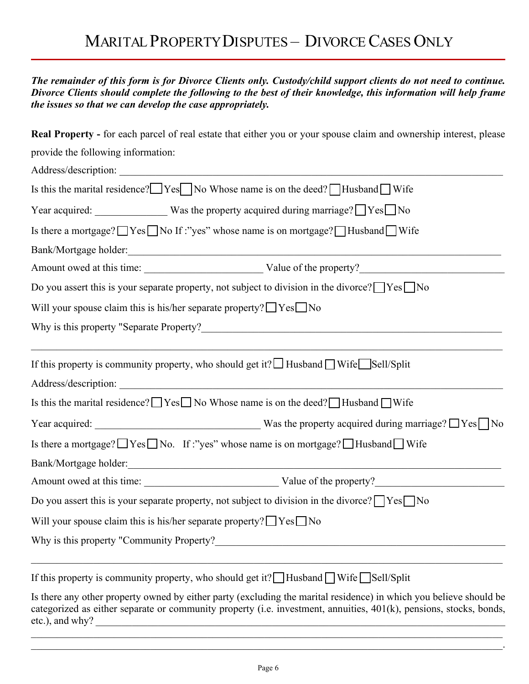## MARITAL PROPERTY DISPUTES – DIVORCE CASES ONLY

| The remainder of this form is for Divorce Clients only. Custody/child support clients do not need to continue.<br>Divorce Clients should complete the following to the best of their knowledge, this information will help frame<br>the issues so that we can develop the case appropriately.                               |
|-----------------------------------------------------------------------------------------------------------------------------------------------------------------------------------------------------------------------------------------------------------------------------------------------------------------------------|
| Real Property - for each parcel of real estate that either you or your spouse claim and ownership interest, please                                                                                                                                                                                                          |
| provide the following information:                                                                                                                                                                                                                                                                                          |
|                                                                                                                                                                                                                                                                                                                             |
| Is this the marital residence? $\Box$ Yes $\Box$ No Whose name is on the deed? $\Box$ Husband $\Box$ Wife                                                                                                                                                                                                                   |
| Year acquired: Was the property acquired during marriage? Ves No                                                                                                                                                                                                                                                            |
| Is there a mortgage? TYes No If :"yes" whose name is on mortgage? THusband Wife                                                                                                                                                                                                                                             |
|                                                                                                                                                                                                                                                                                                                             |
|                                                                                                                                                                                                                                                                                                                             |
| Do you assert this is your separate property, not subject to division in the divorce? $\Box$ Yes $\Box$ No                                                                                                                                                                                                                  |
| Will your spouse claim this is his/her separate property? $\Box$ Yes $\Box$ No                                                                                                                                                                                                                                              |
|                                                                                                                                                                                                                                                                                                                             |
| If this property is community property, who should get it? $\Box$ Husband $\Box$ Wife $\Box$ Sell/Split                                                                                                                                                                                                                     |
|                                                                                                                                                                                                                                                                                                                             |
| Is this the marital residence? $\Box$ Yes $\Box$ No Whose name is on the deed? $\Box$ Husband $\Box$ Wife                                                                                                                                                                                                                   |
|                                                                                                                                                                                                                                                                                                                             |
| Is there a mortgage? $\Box$ Yes $\Box$ No. If :"yes" whose name is on mortgage? $\Box$ Husband $\Box$ Wife                                                                                                                                                                                                                  |
| Bank/Mortgage holder:<br><u> 1989 - Johann John Stone, markin film yn y brenin y brenin y brenin y brenin y brenin y brenin y brenin y br</u>                                                                                                                                                                               |
|                                                                                                                                                                                                                                                                                                                             |
| Do you assert this is your separate property, not subject to division in the divorce? $\Box$ Yes $\Box$ No                                                                                                                                                                                                                  |
| Will your spouse claim this is his/her separate property? $\Box$ Yes $\Box$ No                                                                                                                                                                                                                                              |
|                                                                                                                                                                                                                                                                                                                             |
| If this property is community property, who should get it? Husband Wife Sell/Split                                                                                                                                                                                                                                          |
| Is there any other property owned by either party (excluding the marital residence) in which you believe should be<br>categorized as either separate or community property (i.e. investment, annuities, 401(k), pensions, stocks, bonds,<br>etc.), and why?<br><u> 1980 - Johann Barn, margaret eta idazlear (h. 1980).</u> |

 $\_$  , and the contribution of the contribution of the contribution of the contribution of the contribution of  $\mathcal{L}_\text{max}$  $\mathcal{L}_\mathcal{L} = \mathcal{L}_\mathcal{L} = \mathcal{L}_\mathcal{L} = \mathcal{L}_\mathcal{L} = \mathcal{L}_\mathcal{L} = \mathcal{L}_\mathcal{L} = \mathcal{L}_\mathcal{L} = \mathcal{L}_\mathcal{L} = \mathcal{L}_\mathcal{L} = \mathcal{L}_\mathcal{L} = \mathcal{L}_\mathcal{L} = \mathcal{L}_\mathcal{L} = \mathcal{L}_\mathcal{L} = \mathcal{L}_\mathcal{L} = \mathcal{L}_\mathcal{L} = \mathcal{L}_\mathcal{L} = \mathcal{L}_\mathcal{L}$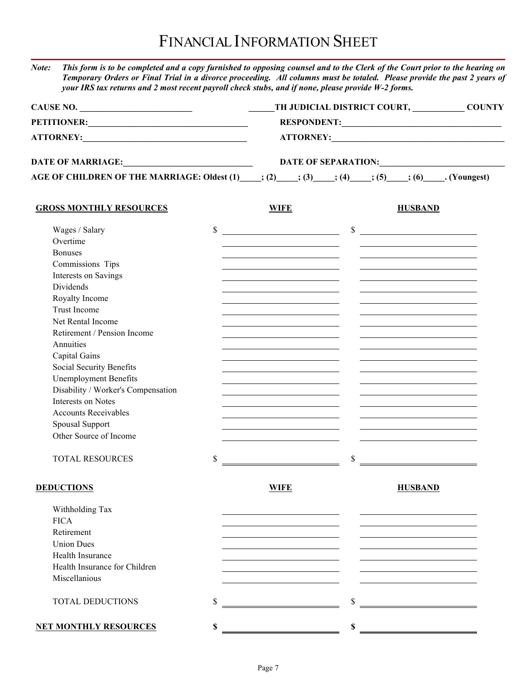*Note: This form is to be completed and a copy furnished to opposing counsel and to the Clerk of the Court prior to the hearing on Temporary Orders or Final Trial in a divorce proceeding. All columns must be totaled. Please provide the past 2 years of your IRS tax returns and 2 most recent payroll check stubs, and if none, please provide W-2 forms.*

| CAUSE NO.                                                                            |              | TH JUDICIAL DISTRICT COURT, _____________ COUNTY<br>RESPONDENT:                                                       |                           |                                                                                               |  |                                                   |
|--------------------------------------------------------------------------------------|--------------|-----------------------------------------------------------------------------------------------------------------------|---------------------------|-----------------------------------------------------------------------------------------------|--|---------------------------------------------------|
|                                                                                      |              |                                                                                                                       |                           |                                                                                               |  |                                                   |
|                                                                                      |              |                                                                                                                       |                           |                                                                                               |  | DATE OF SEPARATION: University of the SEPARATION: |
| AGE OF CHILDREN OF THE MARRIAGE: Oldest (1) : (2) ; (3) ; (4) ; (5) ; (6) (Voungest) |              |                                                                                                                       |                           |                                                                                               |  |                                                   |
| <b>GROSS MONTHLY RESOURCES</b>                                                       |              | <b>WIFE</b>                                                                                                           |                           | <b>HUSBAND</b>                                                                                |  |                                                   |
| Wages / Salary                                                                       | $\mathbb{S}$ |                                                                                                                       |                           | $\sim$                                                                                        |  |                                                   |
| Overtime                                                                             |              |                                                                                                                       |                           |                                                                                               |  |                                                   |
| <b>Bonuses</b>                                                                       |              | <u> 1989 - Johann Barnett, fransk politiker (d. 1989)</u>                                                             |                           | <u> 1989 - Andrea Stadt Britain, amerikansk politiker (d. 1989)</u>                           |  |                                                   |
| Commissions Tips                                                                     |              | <u> 1989 - Johann Barnett, fransk politiker (d. 1989)</u>                                                             |                           |                                                                                               |  |                                                   |
| Interests on Savings                                                                 |              | <u> 1989 - Johann Stoff, Amerikaansk politiker (</u>                                                                  |                           |                                                                                               |  |                                                   |
| Dividends                                                                            |              | <u> 1989 - Johann Stein, mars an de Brazilian (b. 1989)</u>                                                           |                           |                                                                                               |  |                                                   |
| Royalty Income                                                                       |              | <u> 1989 - Johann Barn, mars ann an t-Amhair ann an t-Amhair an t-Amhair ann an t-Amhair an t-Amhair ann an t-Amh</u> |                           | the contract of the contract of the contract of the contract of the contract of               |  |                                                   |
| Trust Income                                                                         |              | <u> 1989 - Johann Barn, fransk politik (d. 1989)</u>                                                                  |                           |                                                                                               |  |                                                   |
| Net Rental Income                                                                    |              |                                                                                                                       |                           |                                                                                               |  |                                                   |
| Retirement / Pension Income                                                          |              |                                                                                                                       |                           |                                                                                               |  |                                                   |
| Annuities                                                                            |              |                                                                                                                       |                           |                                                                                               |  |                                                   |
| Capital Gains                                                                        |              | <u> 1989 - Jan Stein Stein, fransk politik (d. 1989)</u>                                                              |                           |                                                                                               |  |                                                   |
| Social Security Benefits                                                             |              | <u> 1989 - Johann Barn, fransk politik (d. 1989)</u>                                                                  |                           | and the control of the control of the control of the control of the control of the control of |  |                                                   |
| <b>Unemployment Benefits</b>                                                         |              | <u> 1989 - Johann Barn, amerikansk politiker (</u>                                                                    |                           |                                                                                               |  |                                                   |
| Disability / Worker's Compensation                                                   |              |                                                                                                                       |                           |                                                                                               |  |                                                   |
| Interests on Notes                                                                   |              |                                                                                                                       |                           |                                                                                               |  |                                                   |
| <b>Accounts Receivables</b>                                                          |              | the contract of the contract of the contract of the                                                                   |                           |                                                                                               |  |                                                   |
| Spousal Support                                                                      |              | <u> 1989 - Jan Sterling von Berger von Berger von Berger von Berger von Berger von Berger von Berger von Berger</u>   |                           |                                                                                               |  |                                                   |
| Other Source of Income                                                               |              |                                                                                                                       |                           |                                                                                               |  |                                                   |
| <b>TOTAL RESOURCES</b>                                                               | \$           |                                                                                                                       | $\boldsymbol{\mathsf{S}}$ |                                                                                               |  |                                                   |
| <b>DEDUCTIONS</b>                                                                    |              | <b>WIFE</b>                                                                                                           |                           | <b>HUSBAND</b>                                                                                |  |                                                   |
| Withholding Tax                                                                      |              |                                                                                                                       |                           |                                                                                               |  |                                                   |
| <b>FICA</b>                                                                          |              |                                                                                                                       |                           |                                                                                               |  |                                                   |
| Retirement                                                                           |              |                                                                                                                       |                           |                                                                                               |  |                                                   |
| <b>Union Dues</b>                                                                    |              |                                                                                                                       |                           |                                                                                               |  |                                                   |
| Health Insurance                                                                     |              |                                                                                                                       |                           |                                                                                               |  |                                                   |
| Health Insurance for Children                                                        |              |                                                                                                                       |                           |                                                                                               |  |                                                   |
| Miscellanious                                                                        |              |                                                                                                                       |                           |                                                                                               |  |                                                   |
| TOTAL DEDUCTIONS                                                                     | \$           |                                                                                                                       |                           |                                                                                               |  |                                                   |
| <b>NET MONTHLY RESOURCES</b>                                                         | \$           |                                                                                                                       | \$                        |                                                                                               |  |                                                   |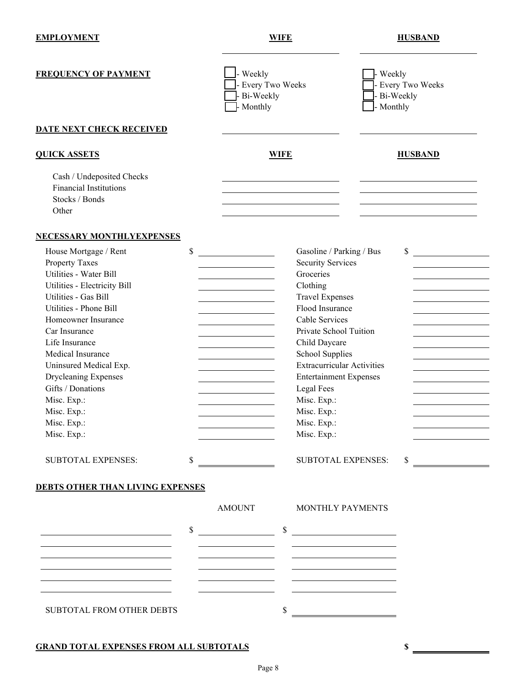| <b>EMPLOYMENT</b> |  |
|-------------------|--|
|                   |  |

| <b>FREQUENCY OF PAYMENT</b>                                                                                                                                                                                                                                                                                                                                                                                                  | - Weekly<br>Every Two Weeks<br>Bi-Weekly<br>Monthly                                                             |                                                                                                                                                                                                                                                                                                                                                                                         | Weekly<br>Bi-Weekly<br>- Monthly | - Every Two Weeks |
|------------------------------------------------------------------------------------------------------------------------------------------------------------------------------------------------------------------------------------------------------------------------------------------------------------------------------------------------------------------------------------------------------------------------------|-----------------------------------------------------------------------------------------------------------------|-----------------------------------------------------------------------------------------------------------------------------------------------------------------------------------------------------------------------------------------------------------------------------------------------------------------------------------------------------------------------------------------|----------------------------------|-------------------|
| DATE NEXT CHECK RECEIVED                                                                                                                                                                                                                                                                                                                                                                                                     |                                                                                                                 |                                                                                                                                                                                                                                                                                                                                                                                         |                                  |                   |
| <b>QUICK ASSETS</b>                                                                                                                                                                                                                                                                                                                                                                                                          |                                                                                                                 | <b>WIFE</b>                                                                                                                                                                                                                                                                                                                                                                             |                                  | <b>HUSBAND</b>    |
| Cash / Undeposited Checks<br><b>Financial Institutions</b><br>Stocks / Bonds<br>Other                                                                                                                                                                                                                                                                                                                                        |                                                                                                                 |                                                                                                                                                                                                                                                                                                                                                                                         |                                  |                   |
| <b>NECESSARY MONTHLYEXPENSES</b>                                                                                                                                                                                                                                                                                                                                                                                             |                                                                                                                 |                                                                                                                                                                                                                                                                                                                                                                                         |                                  |                   |
| \$<br>House Mortgage / Rent<br><b>Property Taxes</b><br>Utilities - Water Bill<br>Utilities - Electricity Bill<br>Utilities - Gas Bill<br>Utilities - Phone Bill<br>Homeowner Insurance<br>Car Insurance<br>Life Insurance<br>Medical Insurance<br>Uninsured Medical Exp.<br><b>Drycleaning Expenses</b><br>Gifts / Donations<br>Misc. Exp.:<br>Misc. Exp.:<br>Misc. Exp.:<br>Misc. Exp.:<br><b>SUBTOTAL EXPENSES:</b><br>\$ | <u> 1980 - Jan James James Barnett, amerikansk politik (d. 1980)</u><br><u> 1980 - Johann Barbara, martxa a</u> | Gasoline / Parking / Bus<br><b>Security Services</b><br>Groceries<br>Clothing<br><b>Travel Expenses</b><br>Flood Insurance<br>Cable Services<br>Private School Tuition<br>Child Daycare<br>School Supplies<br><b>Extracurricular Activities</b><br><b>Entertainment Expenses</b><br>Legal Fees<br>Misc. Exp.:<br>Misc. Exp.:<br>Misc. Exp.:<br>Misc. Exp.:<br><b>SUBTOTAL EXPENSES:</b> | \$                               |                   |
| <b>DEBTS OTHER THAN LIVING EXPENSES</b>                                                                                                                                                                                                                                                                                                                                                                                      |                                                                                                                 |                                                                                                                                                                                                                                                                                                                                                                                         |                                  |                   |
|                                                                                                                                                                                                                                                                                                                                                                                                                              | AMOUNT                                                                                                          | MONTHLY PAYMENTS                                                                                                                                                                                                                                                                                                                                                                        |                                  |                   |
| \$<br><u> 1989 - Johann Barn, mars ann an t-Aonaich an t-Aonaich ann an t-Aonaich ann an t-Aonaich ann an t-Aonaich an </u><br>SUBTOTAL FROM OTHER DEBTS                                                                                                                                                                                                                                                                     | $\overline{\phantom{a}}$ \$                                                                                     | <u> 1990 - Johann Barbara, martxa a</u><br>S                                                                                                                                                                                                                                                                                                                                            |                                  |                   |

### **GRAND TOTAL EXPENSES FROM ALL SUBTOTALS \$**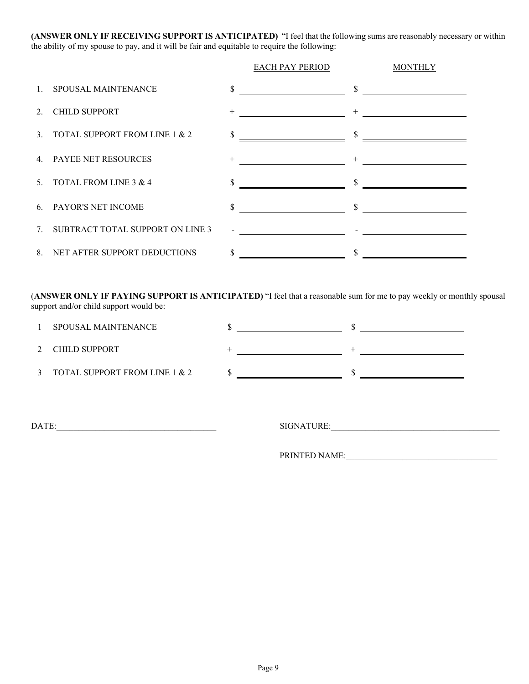**(ANSWER ONLY IF RECEIVING SUPPORT IS ANTICIPATED)** "I feel that the following sums are reasonably necessary or within the ability of my spouse to pay, and it will be fair and equitable to require the following:

|                                     |              | EACH PAY PERIOD                                  | <b>MONTHLY</b> |
|-------------------------------------|--------------|--------------------------------------------------|----------------|
| 1. SPOUSAL MAINTENANCE              | \$           |                                                  |                |
| 2. CHILD SUPPORT                    | $+$          | <u> 2000 - Jan James James Hermann (</u> † 2001) |                |
| 3. TOTAL SUPPORT FROM LINE 1 & 2    | \$           |                                                  |                |
| 4. PAYEE NET RESOURCES              |              |                                                  |                |
| 5. TOTAL FROM LINE $3 & 4$          | \$           |                                                  |                |
| 6. PAYOR'S NET INCOME               | \$           | $\mathbb{S}$                                     |                |
| 7. SUBTRACT TOTAL SUPPORT ON LINE 3 |              |                                                  |                |
| 8. NET AFTER SUPPORT DEDUCTIONS     | $\mathbb{S}$ |                                                  |                |

(**ANSWER ONLY IF PAYING SUPPORT IS ANTICIPATED)** "I feel that a reasonable sum for me to pay weekly or monthly spousal support and/or child support would be:

| SPOUSAL MAINTENANCE           |  |  |
|-------------------------------|--|--|
| CHILD SUPPORT                 |  |  |
| TOTAL SUPPORT FROM LINE 1 & 2 |  |  |

DATE:\_\_\_\_\_\_\_\_\_\_\_\_\_\_\_\_\_\_\_\_\_\_\_\_\_\_\_\_\_\_\_\_\_\_\_\_\_ SIGNATURE:\_\_\_\_\_\_\_\_\_\_\_\_\_\_\_\_\_\_\_\_\_\_\_\_\_\_\_\_\_\_\_\_\_\_\_\_\_\_\_

PRINTED NAME: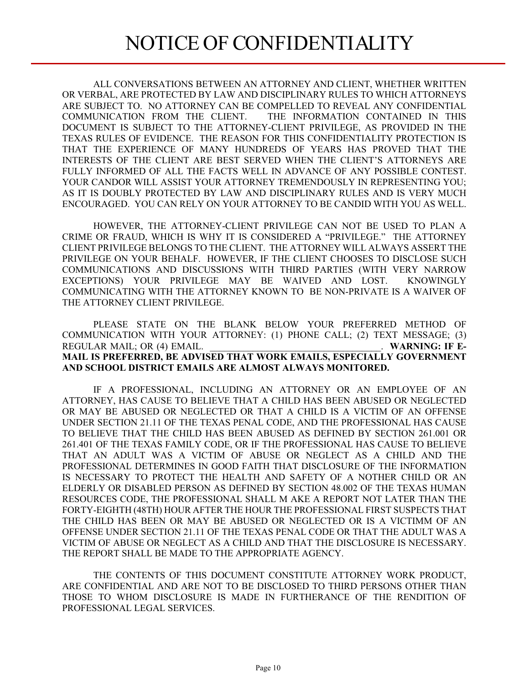ALL CONVERSATIONS BETWEEN AN ATTORNEY AND CLIENT, WHETHER WRITTEN OR VERBAL, ARE PROTECTED BY LAW AND DISCIPLINARY RULES TO WHICH ATTORNEYS ARE SUBJECT TO. NO ATTORNEY CAN BE COMPELLED TO REVEAL ANY CONFIDENTIAL COMMUNICATION FROM THE CLIENT. THE INFORMATION CONTAINED IN THIS DOCUMENT IS SUBJECT TO THE ATTORNEY-CLIENT PRIVILEGE, AS PROVIDED IN THE TEXAS RULES OF EVIDENCE. THE REASON FOR THIS CONFIDENTIALITY PROTECTION IS THAT THE EXPERIENCE OF MANY HUNDREDS OF YEARS HAS PROVED THAT THE INTERESTS OF THE CLIENT ARE BEST SERVED WHEN THE CLIENT'S ATTORNEYS ARE FULLY INFORMED OF ALL THE FACTS WELL IN ADVANCE OF ANY POSSIBLE CONTEST. YOUR CANDOR WILL ASSIST YOUR ATTORNEY TREMENDOUSLY IN REPRESENTING YOU; AS IT IS DOUBLY PROTECTED BY LAW AND DISCIPLINARY RULES AND IS VERY MUCH ENCOURAGED. YOU CAN RELY ON YOUR ATTORNEY TO BE CANDID WITH YOU AS WELL.

HOWEVER, THE ATTORNEY-CLIENT PRIVILEGE CAN NOT BE USED TO PLAN A CRIME OR FRAUD, WHICH IS WHY IT IS CONSIDERED A "PRIVILEGE." THE ATTORNEY CLIENT PRIVILEGE BELONGS TO THE CLIENT. THE ATTORNEY WILL ALWAYS ASSERT THE PRIVILEGE ON YOUR BEHALF. HOWEVER, IF THE CLIENT CHOOSES TO DISCLOSE SUCH COMMUNICATIONS AND DISCUSSIONS WITH THIRD PARTIES (WITH VERY NARROW EXCEPTIONS) YOUR PRIVILEGE MAY BE WAIVED AND LOST. KNOWINGLY COMMUNICATING WITH THE ATTORNEY KNOWN TO BE NON-PRIVATE IS A WAIVER OF THE ATTORNEY CLIENT PRIVILEGE.

PLEASE STATE ON THE BLANK BELOW YOUR PREFERRED METHOD OF COMMUNICATION WITH YOUR ATTORNEY: (1) PHONE CALL; (2) TEXT MESSAGE; (3) REGULAR MAIL; OR (4) EMAIL. **WARNING: IF E-MAIL IS PREFERRED, BE ADVISED THAT WORK EMAILS, ESPECIALLY GOVERNMENT AND SCHOOL DISTRICT EMAILS ARE ALMOST ALWAYS MONITORED.**

IF A PROFESSIONAL, INCLUDING AN ATTORNEY OR AN EMPLOYEE OF AN ATTORNEY, HAS CAUSE TO BELIEVE THAT A CHILD HAS BEEN ABUSED OR NEGLECTED OR MAY BE ABUSED OR NEGLECTED OR THAT A CHILD IS A VICTIM OF AN OFFENSE UNDER SECTION 21.11 OF THE TEXAS PENAL CODE, AND THE PROFESSIONAL HAS CAUSE TO BELIEVE THAT THE CHILD HAS BEEN ABUSED AS DEFINED BY SECTION 261.001 OR 261.401 OF THE TEXAS FAMILY CODE, OR IF THE PROFESSIONAL HAS CAUSE TO BELIEVE THAT AN ADULT WAS A VICTIM OF ABUSE OR NEGLECT AS A CHILD AND THE PROFESSIONAL DETERMINES IN GOOD FAITH THAT DISCLOSURE OF THE INFORMATION IS NECESSARY TO PROTECT THE HEALTH AND SAFETY OF A NOTHER CHILD OR AN ELDERLY OR DISABLED PERSON AS DEFINED BY SECTION 48.002 OF THE TEXAS HUMAN RESOURCES CODE, THE PROFESSIONAL SHALL M AKE A REPORT NOT LATER THAN THE FORTY-EIGHTH (48TH) HOUR AFTER THE HOUR THE PROFESSIONAL FIRST SUSPECTS THAT THE CHILD HAS BEEN OR MAY BE ABUSED OR NEGLECTED OR IS A VICTIMM OF AN OFFENSE UNDER SECTION 21.11 OF THE TEXAS PENAL CODE OR THAT THE ADULT WAS A VICTIM OF ABUSE OR NEGLECT AS A CHILD AND THAT THE DISCLOSURE IS NECESSARY. THE REPORT SHALL BE MADE TO THE APPROPRIATE AGENCY.

THE CONTENTS OF THIS DOCUMENT CONSTITUTE ATTORNEY WORK PRODUCT, ARE CONFIDENTIAL AND ARE NOT TO BE DISCLOSED TO THIRD PERSONS OTHER THAN THOSE TO WHOM DISCLOSURE IS MADE IN FURTHERANCE OF THE RENDITION OF PROFESSIONAL LEGAL SERVICES.